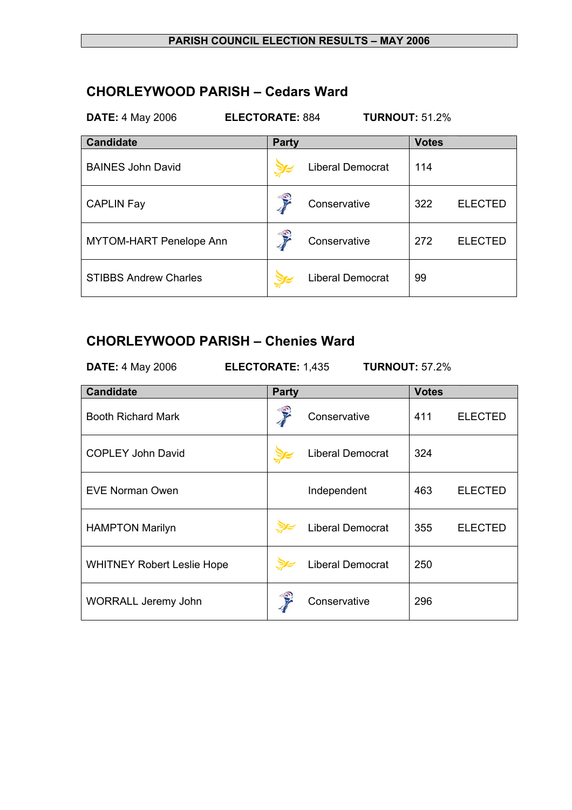#### **PARISH COUNCIL ELECTION RESULTS – MAY 2006**

### **CHORLEYWOOD PARISH – Cedars Ward**

| <b>TURNOUT: 51.2%</b><br><b>ELECTORATE: 884</b><br><b>DATE: 4 May 2006</b> |              |                         |              |                |
|----------------------------------------------------------------------------|--------------|-------------------------|--------------|----------------|
| <b>Candidate</b>                                                           | <b>Party</b> |                         | <b>Votes</b> |                |
| <b>BAINES John David</b>                                                   |              | <b>Liberal Democrat</b> | 114          |                |
| <b>CAPLIN Fay</b>                                                          |              | Conservative            | 322          | <b>ELECTED</b> |
| <b>MYTOM-HART Penelope Ann</b>                                             |              | Conservative            | 272          | <b>ELECTED</b> |
| <b>STIBBS Andrew Charles</b>                                               |              | <b>Liberal Democrat</b> | 99           |                |

# **CHORLEYWOOD PARISH – Chenies Ward**

| <b>DATE: 4 May 2006</b>           | <b>TURNOUT: 57.2%</b><br><b>ELECTORATE: 1,435</b> |                         |              |                |
|-----------------------------------|---------------------------------------------------|-------------------------|--------------|----------------|
| <b>Candidate</b>                  | <b>Party</b>                                      |                         | <b>Votes</b> |                |
| <b>Booth Richard Mark</b>         |                                                   | Conservative            | 411          | <b>ELECTED</b> |
| <b>COPLEY John David</b>          |                                                   | <b>Liberal Democrat</b> | 324          |                |
| <b>EVE Norman Owen</b>            |                                                   | Independent             | 463          | <b>ELECTED</b> |
| <b>HAMPTON Marilyn</b>            |                                                   | <b>Liberal Democrat</b> | 355          | <b>ELECTED</b> |
| <b>WHITNEY Robert Leslie Hope</b> |                                                   | <b>Liberal Democrat</b> | 250          |                |
| <b>WORRALL Jeremy John</b>        |                                                   | Conservative            | 296          |                |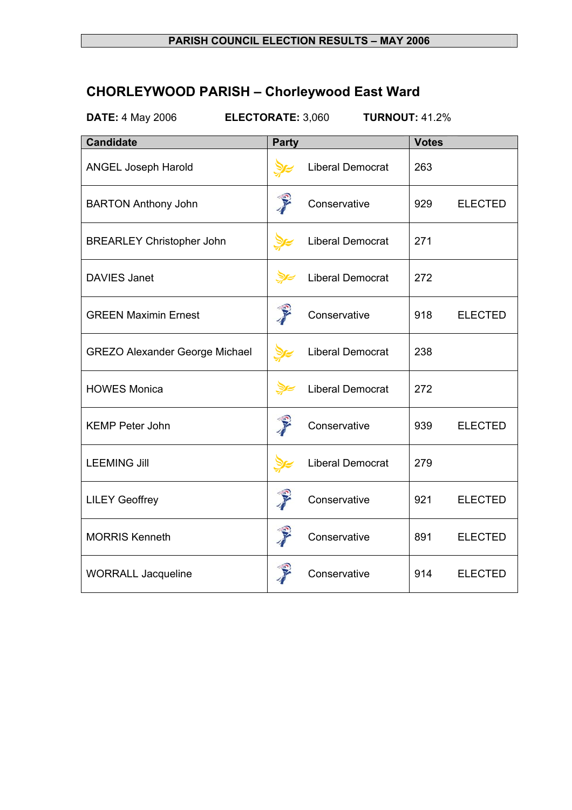#### **PARISH COUNCIL ELECTION RESULTS – MAY 2006**

# **CHORLEYWOOD PARISH – Chorleywood East Ward**

**DATE:** 4 May 2006 **ELECTORATE:** 3,060 **TURNOUT:** 41.2%

| <b>Candidate</b>                      | <b>Party</b>                                                                                                                                                                                                                         |                         | <b>Votes</b> |                |
|---------------------------------------|--------------------------------------------------------------------------------------------------------------------------------------------------------------------------------------------------------------------------------------|-------------------------|--------------|----------------|
| <b>ANGEL Joseph Harold</b>            |                                                                                                                                                                                                                                      | <b>Liberal Democrat</b> | 263          |                |
| <b>BARTON Anthony John</b>            | <b>Contract of the Contract of the Contract of the Contract of the Contract of the Contract of The Contract of the Contract of The Contract of The Contract of The Contract of The Contract of The Contract of The Contract of T</b> | Conservative            | 929          | <b>ELECTED</b> |
| <b>BREARLEY Christopher John</b>      |                                                                                                                                                                                                                                      | Liberal Democrat        | 271          |                |
| <b>DAVIES Janet</b>                   | <b>DE</b>                                                                                                                                                                                                                            | <b>Liberal Democrat</b> | 272          |                |
| <b>GREEN Maximin Ernest</b>           | T                                                                                                                                                                                                                                    | Conservative            | 918          | <b>ELECTED</b> |
| <b>GREZO Alexander George Michael</b> |                                                                                                                                                                                                                                      | Liberal Democrat        | 238          |                |
| <b>HOWES Monica</b>                   | <b>DE</b>                                                                                                                                                                                                                            | <b>Liberal Democrat</b> | 272          |                |
| <b>KEMP Peter John</b>                | P                                                                                                                                                                                                                                    | Conservative            | 939          | <b>ELECTED</b> |
| <b>LEEMING Jill</b>                   |                                                                                                                                                                                                                                      | Liberal Democrat        | 279          |                |
| <b>LILEY Geoffrey</b>                 |                                                                                                                                                                                                                                      | Conservative            | 921          | <b>ELECTED</b> |
| <b>MORRIS Kenneth</b>                 | J                                                                                                                                                                                                                                    | Conservative            | 891          | <b>ELECTED</b> |
| <b>WORRALL Jacqueline</b>             |                                                                                                                                                                                                                                      | Conservative            | 914          | <b>ELECTED</b> |